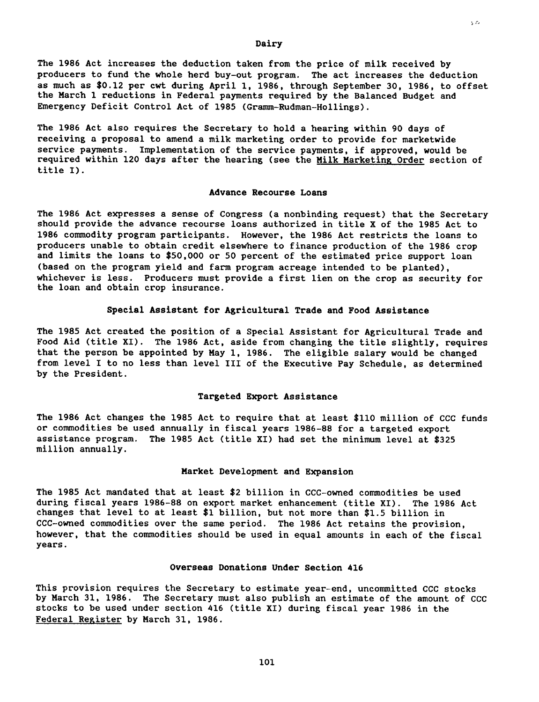Dairy

The 1986 Act increases the deduction taken from the price of milk received by producers to fund the whole herd buy-out program. The act increases the deduction as much as \$0.12 per cwt during April 1, 1986, through September 30, 1986, to offset the March 1 reductions in Federal payments required by the Balanced Budget and Emergency Deficit Control Act of 1985 (Gramm-Rudman-Hollings).

The 1986 Act also requires the Secretary to hold a hearing within 90 days of receiving a proposal to amend a milk marketing order to provide for marketwide service payments. Implementation of the service payments, if approved, would be required within 120 days after the hearing (see the Milk Marketing Order section of title I).

## **Advance Recourse Loans**

The 1986 Act expresses a sense of Congress (a nonbinding request) that the Secretary should provide the advance recourse loans authorized in title X of the 1985 Act to 1986 commodity program participants. However, the 1986 Act restricts the loans to producers unable to obtain credit elsewhere to finance production of the 1986 crop and limits the loans to \$50,000 or 50 percent of the estimated price support loan (based on the program yield and farm program acreage intended to be planted), whichever is less. Producers must provide a first lien on the crop as security for the loan and obtain crop insurance.

# **Special Assistant for Agricultural Trade and Food Assistance**

The 1985 Act created the position of a Special Assistant for Agricultural Trade and Food Aid (title XI). The 1986 Act, aside from changing the title slightly, requires that the person be appointed by May 1, 1986. The eligible salary would be changed from level I to no less than level III of the Executive Pay Schedule, as determined by the President.

## **Targeted Export Assistance**

The 1986 Act changes the 1985 Act to require that at least \$110 million of CCC funds or commodities be used annually in fiscal years 1986-88 for a targeted export assistance program. The 1985 Act (title XI) had set the minimum level at \$325 million annually.

#### Market Development and Expansion

The 1985 Act mandated that at least \$2 billion in CCC-owned commodities be used during fiscal years 1986-88 on export market enhancement (title XI). The 1986 Act changes that level to at least \$1 billion, but not more than \$1.5 billion in CCC-owned commodities over the same period. The 1986 Act retains the provision, however, that the commodities should be used in equal amounts in each of the fiscal years.

# **Overseas Donations Under Section 416**

This provision requires the Secretary to estimate year-end, uncommitted CCC stocks by March 31, 1986. The Secretary must also publish an estimate of the amount of CCC stocks to be used under section 416 (title XI) during fiscal year 1986 in the Federal Register by March 31, 1986.

101

ç.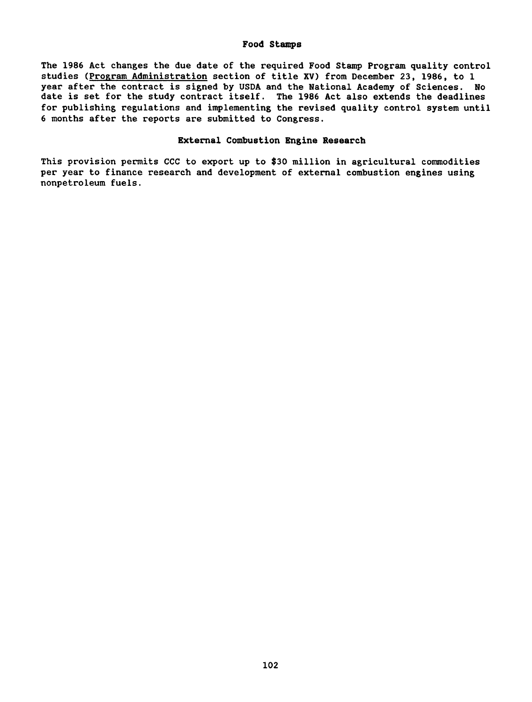#### Food Stamps

The 1986 Act changes the due date of the required Food Stamp Program quality control studies (Program Administration section of title XV) from December 23, 1986, to 1 year after the contract is signed by USDA and the National Academy of Sciences. No date is set for the study contract itself. The 1986 Act also extends the deadlines for publishing regulations and implementing the revised quality control system until 6 months after the reports are submitted to Congress.

# **External Combustion Engine Research**

This provision permits CCC to export up to \$30 million in agricultural commodities per year to finance research and development of external combustion engines using nonpetroleum fuels.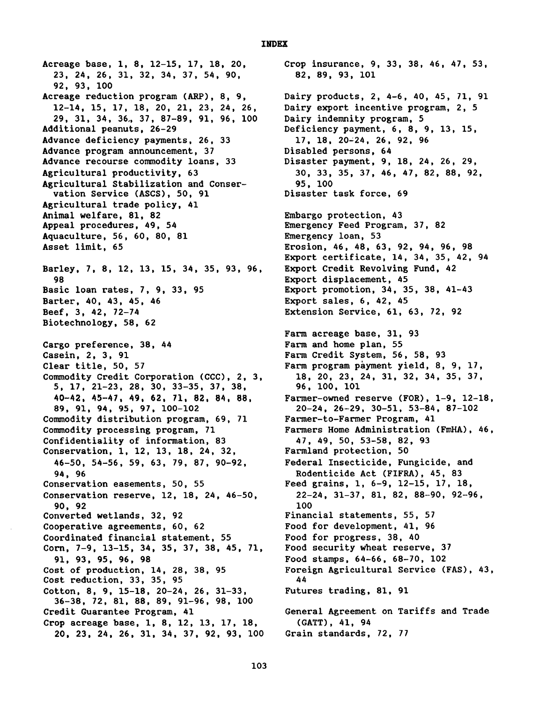Acreage base, 1, 8, 12-15, 17, 18, 20, Crop insurance, 9, 33, 38, 46, 47, 53, 23, 24, 26, 31, 32, 34, 37, 54, 90, 82, 89, 93, 101 92, 93, 100 Acreage reduction program (ARP), 8, 9, Dairy products, 2, 4-6, 40, 45, 71, 91 12-14, 15, 17, 18, 20, 21, 23, 24, 26, Dairy export incentive program, 2, 5 29, 31, 34, 36., 37, 87-89, 91, 96, 100 Dairy indemnity program, 5 Additional peanuts, 26-29 Deficiency payment, 6, 8, 9, 13, 15, Advance deficiency payments, 26, 33 17, 18, 20-24, 26, 92, 96 Advance program announcement, 37 bisabled persons, 64<br>Advance recourse commodity loans, 33 bisaster payment, 9, 18, 24, 26, 29, Advance recourse commodity loans, 33 Agricultural productivity, 63 30, 30, 33, 35, 37, 46, 47, 82, 88, 92, Agricultural Stabilization and Conser-<br>vation Service (ASCS), 50, 91 bisaster task force, 69 vation Service (ASCS), 50, 91 Agricultural trade policy, 41 Animal welfare, 81, 82 Embargo protection, 43 Appeal procedures, 49, 54 Emergency Feed Program, 37, 82 Aquaculture, 56, 60, 80, 81 Emergency loan, 53 Asset limit, 65 **Erosion, 46, 48, 63, 92, 94, 96, 98** Barley, 7, 8, 12, 13, 15, 34, 35, 93, 96, Export Credit Revolving Fund, 42 98 Export displacement, 45<br>Basic loan rates, 7, 9, 33, 95 Export promotion, 34, 3 Barter, 40, 43, 45, 46 Export sales, 6, 42, 45 Beef, 3, 42, 72-74 Extension Service, 61, 63, 72, 92 Biotechnology, 58, 62 Cargo preference, 38, 44 Farm and home plan, 55 Casein, 2, 3, 91 Farm Credit System, 56, 58, 93 Clear title, 50, 57 Farm program payment yield, 8, 9, 17, Commodity Credit Corporation (CCC), 2, 3, 18, 20, 23, 24, 31, 32, 34, 35, 37, 35, 37, 5, 17, 21–23, 28, 30, 33–35, 37, 38, 39, 100, 101 5, 17, 21-23, 28, 30, 33-35, 37, 38, 96, 100, 101 89, 91, 94, 95, 97, 100-102 20-24, 26-29, 30-51, 53-84, 87-102 Commodity distribution program, 69, 71 Farmer-to-Farmer Program, 41 Commodity processing program, 71 Farmers Home Administration (FmHA), 46,<br>Confidentiality of information, 83 47, 49, 50, 53-58, 82, 93 Confidentiality of information, 83 Conservation, 1, 12, 13, 18, 24, 32, Farmland protection, 50 46-50, 54-56, 59, 63, 79, 87, 90-92, Federal Insecticide, Fungicide, and 94, 96 Rodenticide Act (FIFRA), 45, 83 Conservation easements, 50, 55 Feed grains, 1, 6-9, 12-15, 17, 18, Conservation reserve, 12, 18, 24, 46-50, 22-24, 31-37, 81, 82, 88-90, 92-96, 90, 92 100 Converted wetlands, 32, 92 Financial statements, 55, 57 Cooperative agreements, 60, 62 Food for development, 41, 96 Coordinated financial statement, 55 Food for progress, 38, 40 Corn, 7-9, 13-15, 34, 35, 37, 38, 45, 71, Food security wheat reserve, 37 91, 93, 95, 96, 98 Food stamps, 64-66, 68-70, 102 Cost of production, 14, 28, 38, 95<br>
Cost reduction, 33, 35, 95<br>
44<br>
2005 144 Cost reduction,  $33, 35, 95$ Cotton, 8, 9, 15-18, 20-24, 26, 31-33, Futures trading, 81, 91 36-38, 72, 81, 88, 89, 91-96, 98, 100 Credit Guarantee Program, 41 General Agreement on Tariffs and Trade Crop acreage base, 1, 8, 12, 13, 17, 18, (GATT), 41, 94 20, 23, 24, 26, 31, 34, 37, 92, 93, 100 Grain standards, 72, 77

Export certificate, 14, 34, 35, 42, 94 Export promotion,  $34$ ,  $35$ ,  $38$ ,  $41-43$ Farm acreage base, 31, 93 40-42, 45-47, 49, 62, 71, 82, 84, 88, Farmer-owned reserve (FOR), 1-9, 12-18,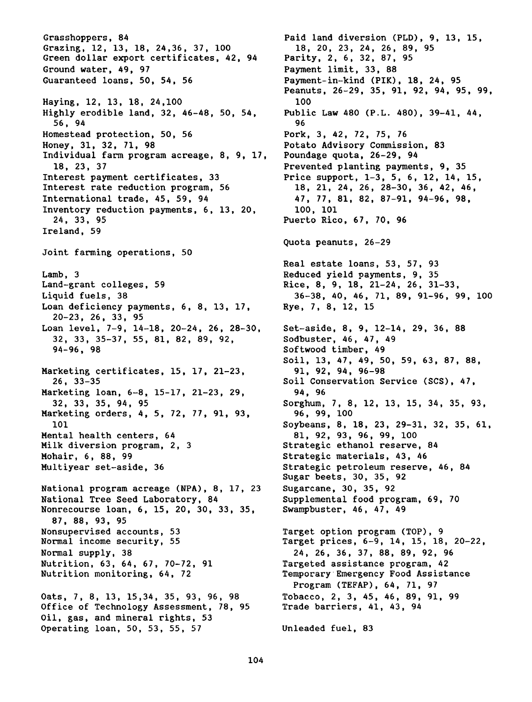Grasshoppers, 84 <br>Grazing, 12, 13, 18, 24, 36, 37, 100 18, 20, 23, 24, 26, 89, 95 Grazing, 12, 13, 18, 24, 36, 37, 100 18, 20, 23, 24, 26, 89<br>Green dollar export certificates, 42, 94 Parity, 2, 6, 32, 87, 95 Green dollar export certificates, 42, 94 Ground water, 49, 97 **Payment limit, 33, 88** Guaranteed loans, 50, 54, 56 Payment-in-kind (PIK), 18, 24, 95 Haying, 12, 13, 18, 24, 100 100 Highly erodible land, 32, 46-48, 50, 54, Public Law 480 (P.L. 480), 39-41, 44,  $56, 94$  96 Homestead protection, 50, 56 Pork, 3, 42, 72, 75, 76<br>Honey, 31, 32, 71, 98 Potato Advisory Commiss Individual farm program acreage, 8, 9, 17, 18, 23, 37 Prevented planting payments, 9, 35 Interest payment certificates, 33 Price support, 1-3, 5, 6, 12, 14, 15, Interest rate reduction program, 56 18, 21, 24, 26, 28-30, 36, 42, 46, International trade, 45, 59, 94 47, 77, 81, 82, 87-91, 94-96, 98, 11.<br>Inventory reduction payments. 6. 13. 20. 100. 101 Inventory reduction payments, 6, 13, 20, 24, 33, 95 Puerto Rico, 67, 70, 96 Ireland, 59 Joint farming operations, 50 Lamb, 3<br>
Land-grant colleges, 59 Rice, 8, 9, 18, 21-24, 26, 31 Liquid fuels, 38 36-38, 40, 46, 71, 89, 91-96, 99, 100 Loan deficiency payments, 6, 8, 13, 17, Rye, 7, 8, 12, 15 20-23, 26, 33, 95 Loan level, 7-9, 14-18, 20-24, 26, 28-30, Set-aside, 8, 9, 12-14, 29, 36, 88 32, 33, 35-37, 55, 81, 82, 89, 92, Sodbuster, 46, 47, 49 94-96, 98 Softwood timber, 49 Marketing certificates, 15, 17, 21-23, 91, 92, 94, 96-98 26, 33-35 Soil Conservation Service (SCS), 47, Marketing loan, 6-8, 15-17, 21-23, 29, 94, 96 Marketing orders, 4, 5, 72, 77, 91, 93, 96, 99, 100 Mental health centers, 64<br>Milk diversion program, 2, 3 Mohair, 6, 88, 99 Strategic materials, 43, 46 Multiyear set-aside, 36 Strategic petroleum reserve, 46, 84 National program acreage (NPA), 8, 17, 23 Sugarcane, 30, 35, 92 National Tree Seed Laboratory, 84 Supplemental food program, 69, 70 Nonrecourse loan, 6, 15, 20, 30, 33, 35, Swampbuster, 46, 47, 49 87, 88, 93, 95 Nonsupervised accounts, 53 Target option program (TOP), 9<br>Normal income security, 55 Target prices, 6-9, 14, 15, 18 Normal supply, 38 24, 26, 36, 37, 88, 89, 92, 96 Nutrition, 63, 64, 67, 70-72, 91 Targeted assistance program, 42 Nutrition monitoring, 64, 72 Temporary Emergency Food Assistance Oats, 7, 8, 13, 15,34, 35, 93, 96, 98 Tobacco, 2, 3, 45, 46, 89, 91, 99<br>Office of Technology Assessment, 78, 95 Trade barriers, 41, 43, 94 Office of Technology Assessment, 78, 95 Oil, gas, and mineral rights, 53 Operating loan, 50, 53, 55, 57 Unleaded fuel, 83

Peanuts, 26-29, 35, 91, 92, 94, 95, 99, Potato Advisory Commission, 83<br>Poundage quota, 26-29, 94 Quota peanuts, 26-29 Real estate loans, 53, 57, 93 Rice, 8, 9, 18, 21-24, 26, 31-33, Soil, 13, 47, 49, 50, 59, 63, 87, 88, 32, 33, 35, 94, 95 Sorghum, 7, 8, 12, 13, 15, 34, 35, 93, 101<br>
101 Soybeans, 8, 18, 23, 29-31, 32, 35, 61,<br>
100 81, 92, 93, 96, 99, 100 Strategic ethanol reserve, 84 Sugar beets, 30, 35, 92 Target prices, 6-9, 14, 15, 18, 20-22, Program (TEFAP), 64, 71, 97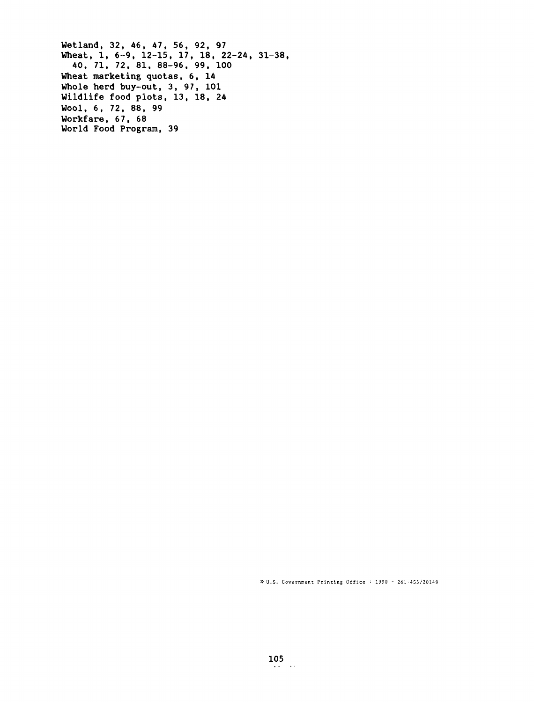Wetland, 32, 46, 47, 56, 92, 97 Wheat, 1, 6-9, 12-15, 17, 18, 22-24, 31-38, 40, 71, 72, 81, 88-96, 99, 100 Wheat marketing quotas, 6, 14 Whole herd buy-out, 3, 97, 101 Wildlife food plots, 13, 18, 24 Wool, 6, 72, 88, 99 Workfare, 67, 68 World Food Program, 39

U.S. Government Printing Office: 1990 - 261-455/20149